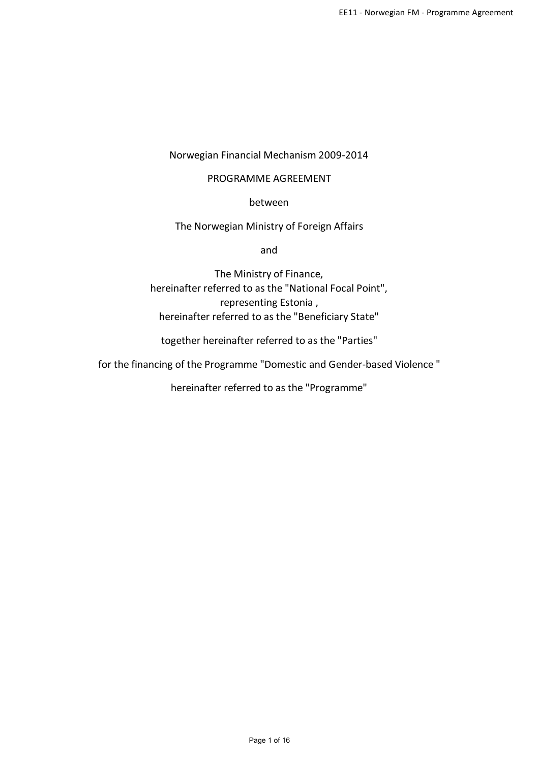# Norwegian Financial Mechanism 2009-2014

# PROGRAMME AGREEMENT

between

The Norwegian Ministry of Foreign Affairs

and

The Ministry of Finance, hereinafter referred to as the "National Focal Point", representing Estonia, hereinafter referred to as the "Beneficiary State"

together hereinafter referred to as the "Parties"

for the financing of the Programme "Domesticand Gender-based Violence "

hereinafter referred to as the "Programme"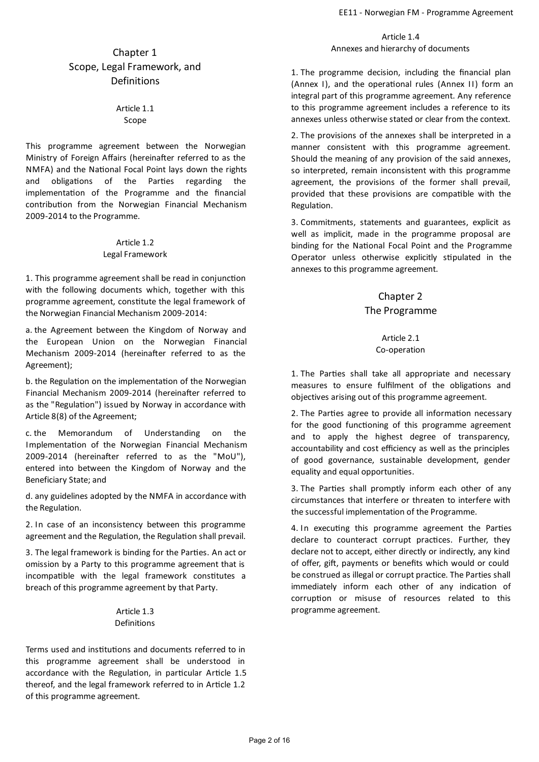# Chapter 1 Scope, Legal Framework, and Definitions

# Article 1.1 Scope

This programme agreement between the Norwegian Ministry of Foreign Affairs (hereinafter referred to as the NMFA) and the National Focal Point lays down the rights and obligations of the Parties regarding the implementation of the Programme and the financial contribution from the Norwegian Financial Mechanism 2009-2014 to the Programme.

#### Article 1.2 Legal Framework

1. This programme agreement shall be read in conjunction with the following documents which, together with this programme agreement, constitute the legal framework of the Norwegian Financial Mechanism 2009-2014:

a. the Agreement between the Kingdom of Norway and the European Union on the Norwegian Financial Mechanism 2009-2014 (hereinafter referred to as the Agreement);

b. the Regulation on the implementation of the Norwegian Financial Mechanism 2009-2014 (hereinafter referred to as the "Regulation") issued by Norway in accordance with Article 8(8) of the Agreement;

c. the Memorandum of Understanding on the Implementation of the Norwegian Financial Mechanism 2009-2014 (hereinafter referred to as the "MoU"), entered into between the Kingdom of Norway and the Beneficiary State; and

d.any guidelines adopted by the NMFA in accordance with the Regulation.

2. In case of an inconsistency between this programme agreement and the Regulation, the Regulation shall prevail.

3. The legal framework is binding for the Parties. An act or omission by a Party to this programme agreement that is incompatible with the legal framework constitutes a breach of this programme agreement by that Party.

# Article 1.3 Definitions

Terms used and institutions and documents referred to in this programme agreement shall be understood in accordance with the Regulation, in particular Article 1.5 thereof, and the legal framework referred to in Article 1.2 of this programme agreement.

Article 1.4 Annexes and hierarchy of documents

1. The programme decision, including the financial plan (Annex I), and the operational rules (Annex II) form an integral part of this programme agreement. Any reference to this programme agreement includes a reference to its annexes unless otherwise stated or clear from the context.

2. The provisions of the annexes shall be interpreted in a manner consistent with this programme agreement. Should the meaning of any provision of the said annexes, so interpreted, remain inconsistent with this programme agreement, the provisions of the former shall prevail, provided that these provisions are compatible with the Regulation.

3. Commitments, statements and guarantees, explicit as well as implicit, made in the programme proposal are binding for the National Focal Point and the Programme Operator unless otherwise explicitly stipulated in the annexes to this programme agreement.

# Chapter 2 The Programme

### Article 2.1 Co-operation

1. The Parties shall take all appropriate and necessary measures to ensure fulfilment of the obligations and objectives arising out of this programme agreement.

2. The Parties agree to provide all information necessary for the good functioning of this programme agreement and to apply the highest degree of transparency, accountability and cost efficiency as well as the principles of good governance, sustainable development, gender equality and equal opportunities.

3. The Parties shall promptly inform each other of any circumstances that interfere or threaten to interfere with the successful implementation of the Programme.

4. In executing this programme agreement the Parties declare to counteract corrupt practices. Further, they declare not to accept, either directly or indirectly, any kind of offer, gift, payments or benefits which would or could be construed as illegal or corrupt practice. The Parties shall immediately inform each other of any indication of corruption or misuse of resources related to this programme agreement.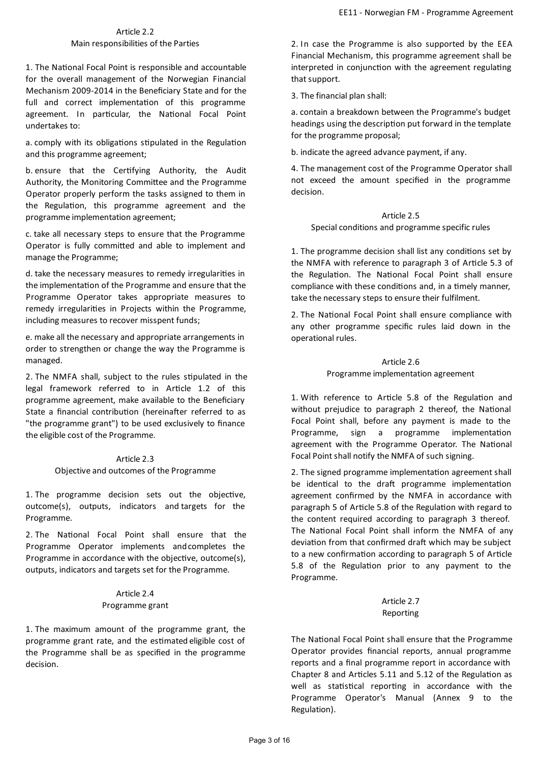### Article 2.2 Main responsibilities of the Parties

1. The National Focal Point is responsible and accountable for the overall management of the Norwegian Financial Mechanism 2009-2014 in the Beneficiary State and for the full and correct implementation of this programme agreement. In particular, the National Focal Point undertakes to:

a. comply with its obligations stipulated in the Regulation and this programme agreement;

b. ensure that the Certifying Authority, the Audit Authority, the Monitoring Committee and the Programme Operator properly perform the tasks assigned to them in the Regulation, this programme agreement and the programme implementation agreement;

c. take all necessary steps to ensure that the Programme Operator is fully committed and able to implement and manage the Programme;

d. take the necessary measures to remedy irregularities in the implementation of the Programme and ensure that the Programme Operator takes appropriate measures to remedy irregularities in Projects within the Programme, including measures to recover misspent funds;

e. make all the necessary and appropriate arrangements in order to strengthen or change the way the Programme is managed.

2. The NMFA shall, subject to the rules stipulated in the legal framework referred to in Article 1.2 of this programme agreement, make available to the Beneficiary State a financial contribution (hereinafter referred to as "the programme grant") to be used exclusively to finance the eligible cost of the Programme.

> Article 2.3 Objective and outcomes of the Programme

1. The programme decision sets out the objective, outcome(s), outputs, indicators and targets for the Programme.

2. The National Focal Point shall ensure that the Programme Operator implements andcompletes the Programme in accordance with the objective, outcome(s), outputs, indicators and targets set for the Programme.

### Article 2.4 Programme grant

1. The maximum amount of the programme grant, the programme grant rate, and the estimated eligible cost of the Programme shall be as specified in the programme decision.

2. In case the Programme is also supported by the EEA Financial Mechanism, this programme agreement shall be interpreted in conjunction with the agreement regulating that support.

3.The financial plan shall:

a. contain a breakdown between the Programme's budget headings using the description put forward in the template for the programme proposal;

b. indicate the agreed advance payment, if any.

4. The management cost of the Programme Operator shall not exceed the amount specified in the programme decision.

# Article 2.5 Special conditions and programme specific rules

1. The programme decision shall list any conditions set by the NMFA with reference to paragraph 3 of Article 5.3 of the Regulation. The National Focal Point shall ensure compliance with these conditions and, in a timely manner, take the necessary steps to ensure their fulfilment.

2. The National Focal Point shall ensure compliance with any other programme specific rules laid down in the operational rules.

# Article 2.6 Programme implementation agreement

1. With reference to Article 5.8 of the Regulation and without prejudice to paragraph 2 thereof, the National Focal Point shall, before any payment is made to the Programme, sign a programme implementation agreement with the Programme Operator. The National Focal Point shall notify the NMFA of such signing.

2. The signed programme implementation agreement shall be identical to the draft programme implementation agreement confirmed by the NMFA in accordance with paragraph 5 of Article 5.8 of the Regulation with regard to the content required according to paragraph 3 thereof. The National Focal Point shall inform the NMFA of any deviation from that confirmed draft which may be subject to a new confirmation according to paragraph 5 of Article 5.8 of the Regulation prior to any payment to the Programme.

# Article 2.7 Reporting

The National Focal Point shall ensure that the Programme Operator provides financial reports, annual programme reports and a final programme report in accordance with Chapter 8 and Articles 5.11 and 5.12 of the Regulation as well as statistical reporting in accordance with the Programme Operator's Manual (Annex 9 to the Regulation).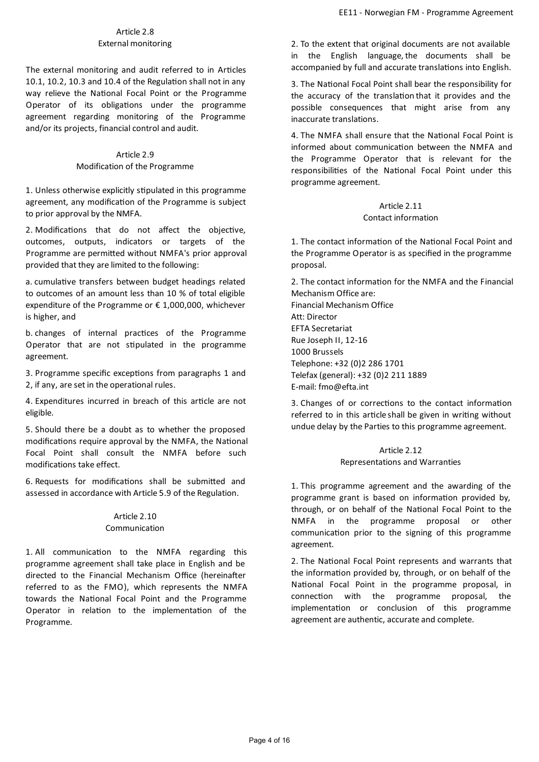# Article 2.8 External monitoring

The external monitoring and audit referred to in Articles 10.1, 10.2, 10.3 and 10.4 of the Regulation shall not in any way relieve the National Focal Point or the Programme Operator of its obligations under the programme agreement regarding monitoring of the Programme and/or its projects, financial control and audit.

# Article 2.9 Modification of the Programme

1. Unless otherwise explicitly stipulated in this programme agreement, any modification of the Programme is subject to prior approval by the NMFA.

2. Modifications that do not affect the objective, outcomes, outputs, indicators or targets of the Programme are permitted without NMFA's prior approval provided that they are limited to the following:

a. cumulative transfers between budget headings related to outcomes of an amount less than 10 % of total eligible expenditure of the Programme or € 1,000,000, whichever is higher, and

b. changes of internal practices of the Programme Operator that are not stipulated in the programme agreement.

3. Programme specific exceptions from paragraphs 1 and 2, if any, are set in the operational rules.

4. Expenditures incurred in breach of this article are not eligible.

5. Should there be a doubt as to whether the proposed modifications require approval by the NMFA, the National Focal Point shall consult the NMFA before such modifications take effect.

6. Requests for modifications shall be submitted and assessed in accordance with Article 5.9 of the Regulation.

### Article 2.10 Communication

1. All communication to the NMFA regarding this programme agreement shall take place in English and be directed to the Financial Mechanism Office (hereinafter referred to as the FMO), which represents the NMFA towards the National Focal Point and the Programme Operator in relation to the implementation of the Programme.

2. To the extent that original documents are not available in the English language, the documents shall be accompanied by full and accurate translations into English.

3. The National Focal Point shall bear the responsibility for the accuracy of the translation that it provides and the possible consequences that might arise from any inaccurate translations.

4. The NMFA shall ensure that the National Focal Point is informed about communication between the NMFA and the Programme Operator that is relevant for the responsibilities of the National Focal Point under this programme agreement.

# Article 2.11 Contact information

1. The contact information of the National Focal Point and the Programme Operator is as specified in the programme proposal.

2. The contact information for the NMFA and the Financial Mechanism Office are: Financial Mechanism Office Att: Director EFTA Secretariat Rue Joseph II, 12-16 1000 Brussels Telephone: +32 (0)2 286 1701 Telefax(general): +32 (0)2 211 1889 E-mail: fmo@efta.int

3. Changes of or corrections to the contact information referred to in this article shall be given in writing without undue delay by the Parties to this programme agreement.

# Article 2.12 Representations and Warranties

1. This programme agreement and the awarding of the programme grant is based on information provided by, through, or on behalf of the National Focal Point to the NMFA in the programme proposal or other communication prior to the signing of this programme agreement.

2. The National Focal Point represents and warrants that the information provided by, through, or on behalf of the National Focal Point in the programme proposal, in connection with the programme proposal, the implementation or conclusion of this programme agreement are authentic, accurate and complete.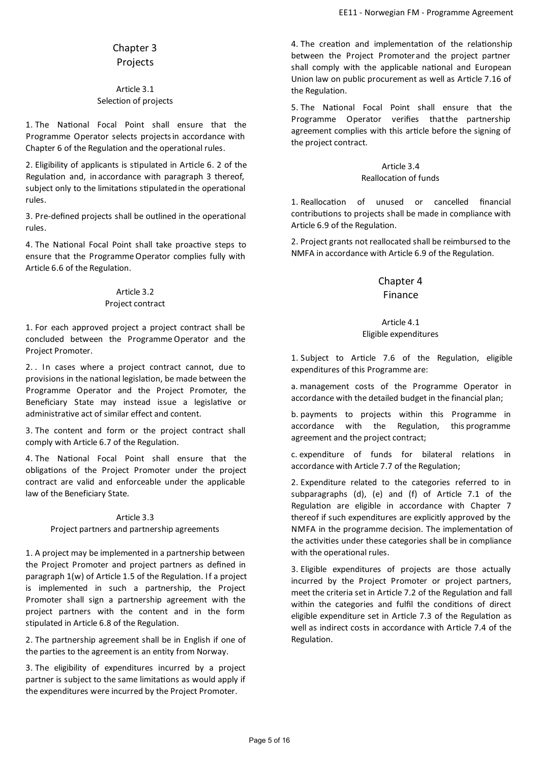# Chapter 3 Projects

### Article 3.1 Selection of projects

1. The National Focal Point shall ensure that the Programme Operator selects projectsin accordance with Chapter 6 of the Regulation and the operational rules.

2. Eligibility of applicants is stipulated in Article 6. 2 of the Regulation and, in accordance with paragraph 3 thereof, subject only to the limitations stipulated in the operational rules.

3. Pre-defined projects shall be outlined in the operational rules.

4. The National Focal Point shall take proactive steps to ensure that the ProgrammeOperator complies fully with Article 6.6 of the Regulation.

### Article 3.2 Project contract

1. For each approved project a project contract shall be concluded between the ProgrammeOperator and the Project Promoter.

2. . In cases where a project contract cannot, due to provisions in the national legislation, be made between the Programme Operator and the Project Promoter, the Beneficiary State may instead issue a legislative or administrative act of similar effect and content.

3. The content and form or the project contract shall comply with Article 6.7 of the Regulation.

4. The National Focal Point shall ensure that the obligations of the Project Promoter under the project contract are valid and enforceable under the applicable law of the Beneficiary State.

# Article 3.3

#### Project partners and partnership agreements

1. A project may be implemented in a partnership between the Project Promoter and project partners as defined in paragraph  $1(w)$  of Article 1.5 of the Regulation. If a project is implemented in such a partnership, the Project Promoter shall sign a partnership agreement with the project partners with the content and in the form stipulated in Article 6.8 of the Regulation.

2. The partnership agreement shall be in English if one of the parties to the agreement is an entity from Norway.

3. The eligibility of expenditures incurred by a project partner is subject to the same limitations as would apply if the expenditures were incurred by the Project Promoter.

4. The creation and implementation of the relationship between the Project Promoterand the project partner shall comply with the applicable national and European Union law on public procurement as well as Article 7.16 of the Regulation.

5. The National Focal Point shall ensure that the Programme Operator verifies thatthe partnership agreement complies with this article before the signing of the project contract.

# Article 3.4

### Reallocation of funds

1. Reallocation of unused or cancelled financial contributions to projects shall be made in compliance with Article 6.9 of the Regulation.

2. Project grants not reallocated shall be reimbursed to the NMFA in accordance with Article 6.9 of the Regulation.

# Chapter 4

# Finance

# Article 4.1

# Eligible expenditures

1. Subject to Article 7.6 of the Regulation, eligible expenditures of this Programme are:

a. management costs of the Programme Operator in accordance with the detailed budget in the financial plan;

b. payments to projects within this Programme in accordance with the Regulation, this programme agreement and the project contract;

c. expenditure of funds for bilateral relations in accordance with Article 7.7 of the Regulation;

2. Expenditure related to the categories referred to in subparagraphs  $(d)$ ,  $(e)$  and  $(f)$  of Article 7.1 of the Regulation are eligible in accordance with Chapter 7 thereof if such expenditures are explicitly approved by the NMFA in the programme decision. The implementation of the activities under these categories shall be in compliance with the operational rules.

3. Eligible expenditures of projects are those actually incurred by the Project Promoter or project partners, meet the criteria set in Article 7.2 of the Regulation and fall within the categories and fulfil the conditions of direct eligible expenditure set in Article 7.3 of the Regulation as well as indirect costs in accordance with Article 7.4 of the Regulation.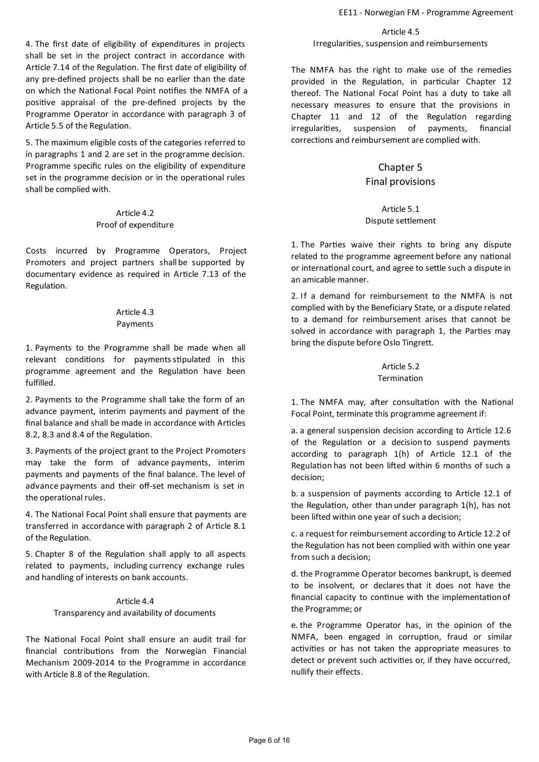4. The first date of eligibility of expenditures in projects shall be set in the project contract in accordance with Article 7.14 of the Regulation. The first date of eligibility of any pre-defined projects shall be no earlier than the date on which the National Focal Point notifies the NMFA of a positive appraisal of the pre-defined projects by the Programme Operator in accordance with paragraph 3 of Article 5.5 of the Regulation.

5. The maximum eligible costs of the categories referred to in paragraphs 1 and 2 are set in the programme decision. Programme specific rules on the eligibility of expenditure set in the programme decision or in the operational rules shall be complied with.

> Article 4.2 Proof of expenditure

Costs incurred by Programme Operators, Project Promoters and project partners shall be supported by documentary evidence as required in Article 7.13 of the Regulation.

### Article 4.3 Payments

1. Payments to the Programme shall be made when all relevant conditions for payments stipulated in this programme agreement and the Regulation have been fulfilled.

2. Payments to the Programme shall take the form of an advance payment, interim payments and payment of the final balance and shall be made in accordance with Articles 8.2, 8.3 and 8.4 of the Regulation.

3. Payments of the project grant to the Project Promoters may take the form of advance payments, interim payments and payments of the final balance. The level of advance payments and their off-set mechanism is set in the operational rules.

4. The National Focal Point shall ensure that payments are transferred in accordance with paragraph 2 of Article 8.1 of the Regulation.

5. Chapter 8 of the Regulation shall apply to all aspects related to payments, including currency exchange rules and handling of interests on bank accounts.

> Article 4.4 Transparency and availability of documents

The National Focal Point shall ensure an audit trail for financial contributions from the Norwegian Financial Mechanism 2009-2014 to the Programme in accordance with Article 8.8 of the Regulation.

Article 4.5 Irregularities, suspension and reimbursements

The NMFA has the right to make use of the remedies provided in the Regulation, in particular Chapter 12 thereof. The National Focal Point has a duty to take all necessary measures to ensure that the provisions in Chapter  $11$  and  $12$  of the Regulation regarding irregularities, suspension of payments, financial corrections and reimbursement are complied with.

# Chapter 5 Final provisions

### Article 5.1 Dispute settlement

1. The Parties waive their rights to bring any dispute related to the programme agreement before any national or international court, and agree to settle such a dispute in an amicable manner.

2. If a demand for reimbursement to the NMFA is not complied with by the Beneficiary State, or a dispute related to a demand for reimbursement arises that cannot be solved in accordance with paragraph 1, the Parties may bring the dispute before Oslo Tingrett.

# Article 5.2 Termination

1. The NMFA may, after consultation with the National Focal Point, terminate this programme agreement if:

a. a general suspension decision according to Article 12.6 of the Regulation or a decision to suspend payments according to paragraph  $1(h)$  of Article 12.1 of the Regulation has not been lifted within 6 months of such a decision;

b. a suspension of payments according to Article 12.1 of the Regulation, other than under paragraph 1(h), has not been lifted within one year of such a decision;

c. a request for reimbursement according to Article 12.2 of the Regulation has not been complied with within one year from such a decision;

d. the Programme Operator becomes bankrupt, is deemed to be insolvent, or declares that it does not have the financial capacity to continue with the implementation of the Programme; or

e. the Programme Operator has, in the opinion of the NMFA, been engaged in corruption, fraud or similar activities or has not taken the appropriate measures to detect or prevent such activities or, if they have occurred, nullify their effects.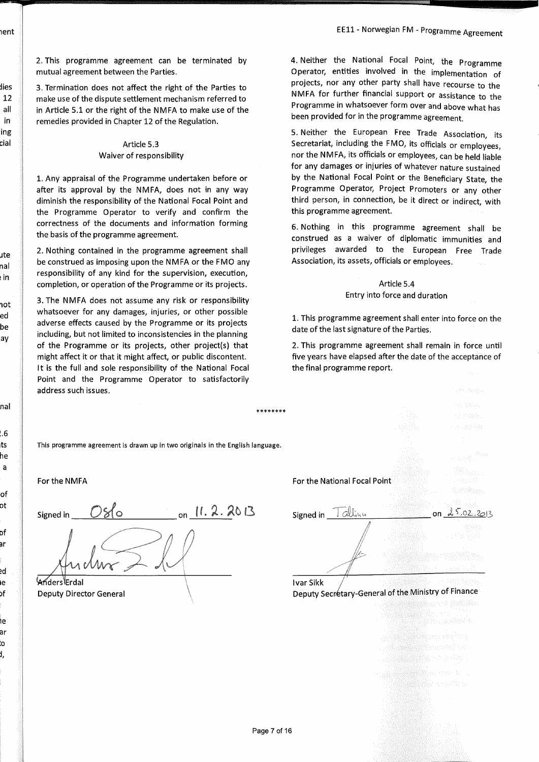าent

dies  $12$ all in ing cial

ute

nal

ı in

hot

ed

be

ay

nal

l.6 ts

he a

of оt

Df ar

ed

١e

bf

١e ar .<br>O J.

2. This programme agreement can be terminated by mutual agreement between the Parties.

3. Termination does not affect the right of the Parties to make use of the dispute settlement mechanism referred to in Article 5.1 or the right of the NMFA to make use of the remedies provided in Chapter 12 of the Regulation.

#### Article 5.3 Waiver of responsibility

1. Any appraisal of the Programme undertaken before or after its approval by the NMFA, does not in any way diminish the responsibility of the National Focal Point and the Programme Operator to verify and confirm the correctness of the documents and information forming the basis of the programme agreement.

2. Nothing contained in the programme agreement shall be construed as imposing upon the NMFA or the FMO any responsibility of any kind for the supervision, execution, completion, or operation of the Programme or its projects.

3. The NMFA does not assume any risk or responsibility whatsoever for any damages, injuries, or other possible adverse effects caused by the Programme or its projects including, but not limited to inconsistencies in the planning of the Programme or its projects, other project(s) that might affect it or that it might affect, or public discontent. It is the full and sole responsibility of the National Focal Point and the Programme Operator to satisfactorily address such issues.

4. Neither the National Focal Point, the Programme Operator, entities involved in the implementation of projects, nor any other party shall have recourse to the NMFA for further financial support or assistance to the Programme in whatsoever form over and above what has been provided for in the programme agreement.

5. Neither the European Free Trade Association, its Secretariat, including the FMO, its officials or employees, nor the NMFA, its officials or employees, can be held liable for any damages or injuries of whatever nature sustained by the National Focal Point or the Beneficiary State, the Programme Operator, Project Promoters or any other third person, in connection, be it direct or indirect, with this programme agreement.

6. Nothing in this programme agreement shall be construed as a waiver of diplomatic immunities and privileges awarded to the European Free Trade Association, its assets, officials or employees.

#### Article 5.4 Entry into force and duration

1. This programme agreement shall enter into force on the date of the last signature of the Parties.

2. This programme agreement shall remain in force until five years have elapsed after the date of the acceptance of the final programme report.

\*\*\*\*\*\*\*\* This programme agreement is drawn up in two originals in the English language. For the National Focal Point For the NMFA on  $11.2.2013$ 086 Signed in Tallinu Signed in <u>Woders Frdal</u> **Ivar Sikk** Deputy Secretary-General of the Ministry of Finance **Deputy Director General**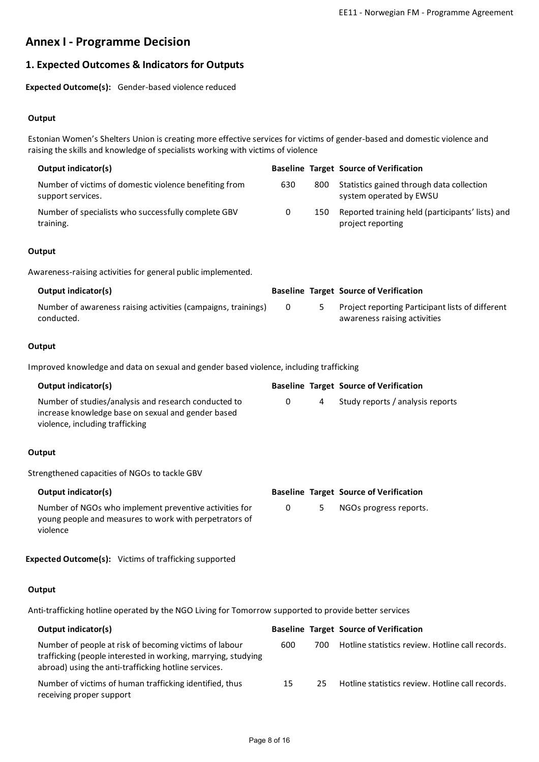# **AnnexI - Programme Decision**

# **1.Expected Outcomes & Indicators for Outputs**

**Expected Outcome(s):** Gender-based violence reduced

# **Output**

Estonian Women's Shelters Union is creating more effective services for victims ofgender-based and domesticviolence and raising the skills and knowledge of specialists working with victims of violence

| Output indicator(s)                                                         |     |     | <b>Baseline Target Source of Verification</b>                         |
|-----------------------------------------------------------------------------|-----|-----|-----------------------------------------------------------------------|
| Number of victims of domestic violence benefiting from<br>support services. | 630 | 800 | Statistics gained through data collection<br>system operated by EWSU  |
| Number of specialists who successfully complete GBV<br>training.            | 0   | 150 | Reported training held (participants' lists) and<br>project reporting |

### **Output**

Awareness-raisingactivities for general public implemented.

| Output indicator(s)                                                         |  | <b>Baseline Target Source of Verification</b>                                    |
|-----------------------------------------------------------------------------|--|----------------------------------------------------------------------------------|
| Number of awareness raising activities (campaigns, trainings)<br>conducted. |  | Project reporting Participant lists of different<br>awareness raising activities |

### **Output**

Improved knowledge and data on sexual and gender based violence, including trafficking

| Output indicator(s)                                                                                                                           |   |   | <b>Baseline Target Source of Verification</b> |
|-----------------------------------------------------------------------------------------------------------------------------------------------|---|---|-----------------------------------------------|
| Number of studies/analysis and research conducted to<br>increase knowledge base on sexual and gender based<br>violence, including trafficking | 0 | 4 | Study reports / analysis reports              |
| Output                                                                                                                                        |   |   |                                               |
| Strengthened capacities of NGOs to tackle GBV                                                                                                 |   |   |                                               |
| <b>Output indicator(s)</b>                                                                                                                    |   |   | <b>Baseline Target Source of Verification</b> |
| Number of NGOs who implement preventive activities for<br>young people and measures to work with perpetrators of<br>violence                  | 0 | 5 | NGOs progress reports.                        |

# **Expected Outcome(s):** Victims of trafficking supported

# **Output**

Anti-trafficking hotline operated by the NGO Living for Tomorrow supported to provide better services

| Output indicator(s)                                                                                                                                                             |     |      | <b>Baseline Target Source of Verification</b>    |
|---------------------------------------------------------------------------------------------------------------------------------------------------------------------------------|-----|------|--------------------------------------------------|
| Number of people at risk of becoming victims of labour<br>trafficking (people interested in working, marrying, studying<br>abroad) using the anti-trafficking hotline services. | 600 | 700. | Hotline statistics review. Hotline call records. |
| Number of victims of human trafficking identified, thus<br>receiving proper support                                                                                             | 15  | 25   | Hotline statistics review. Hotline call records. |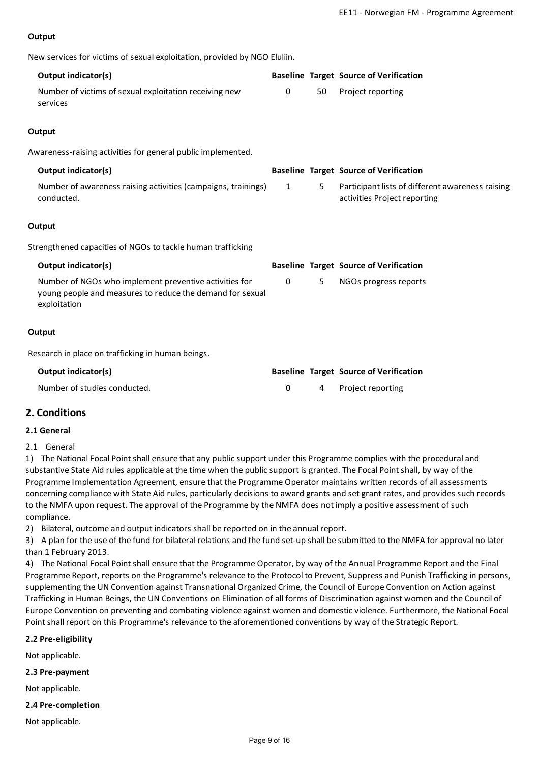### **Output**

| New services for victims of sexual exploitation, provided by NGO Eluliin.                                                           |              |    |                                                                                  |
|-------------------------------------------------------------------------------------------------------------------------------------|--------------|----|----------------------------------------------------------------------------------|
| Output indicator(s)                                                                                                                 |              |    | <b>Baseline Target Source of Verification</b>                                    |
| Number of victims of sexual exploitation receiving new<br>services                                                                  | $\mathbf{0}$ | 50 | Project reporting                                                                |
| Output                                                                                                                              |              |    |                                                                                  |
| Awareness-raising activities for general public implemented.                                                                        |              |    |                                                                                  |
| Output indicator(s)                                                                                                                 |              |    | <b>Baseline Target Source of Verification</b>                                    |
| Number of awareness raising activities (campaigns, trainings)<br>conducted.                                                         | $\mathbf{1}$ | 5  | Participant lists of different awareness raising<br>activities Project reporting |
| Output                                                                                                                              |              |    |                                                                                  |
| Strengthened capacities of NGOs to tackle human trafficking                                                                         |              |    |                                                                                  |
| <b>Output indicator(s)</b>                                                                                                          |              |    | <b>Baseline Target Source of Verification</b>                                    |
| Number of NGOs who implement preventive activities for<br>young people and measures to reduce the demand for sexual<br>exploitation | $\mathbf 0$  | 5  | NGOs progress reports                                                            |
| Output                                                                                                                              |              |    |                                                                                  |
| Research in place on trafficking in human beings.                                                                                   |              |    |                                                                                  |
| Output indicator(s)                                                                                                                 |              |    | <b>Baseline Target Source of Verification</b>                                    |
| Number of studies conducted.                                                                                                        | $\mathbf 0$  | 4  | Project reporting                                                                |
| $\mathbf{A}$ . $\mathbf{A}$ . $\mathbf{A}$ . $\mathbf{A}$                                                                           |              |    |                                                                                  |

# **2. Conditions**

### **2.1 General**

2.1 General

1) The National Focal Point shall ensure that any public support under this Programme complies with the procedural and substantive State Aid rules applicable at the time when the public support is granted.The Focal Point shall, by way of the Programme Implementation Agreement, ensure that the Programme Operator maintains written records of all assessments concerning compliance with State Aid rules, particularly decisions to award grants and set grant rates, and provides such records to the NMFA upon request. The approval of the Programme by the NMFA does not imply a positive assessment of such compliance.

2) Bilateral, outcome and output indicators shall be reported on in the annual report.

3) A plan for the use of the fund for bilateral relations and the fund set-up shall be submitted to the NMFA for approval no later than 1 February 2013.

4) The National Focal Point shall ensure that the Programme Operator, by way of the Annual Programme Report and the Final Programme Report, reports on the Programme's relevance to the Protocol to Prevent, Suppress and Punish Trafficking in persons, supplementing the UN Convention against Transnational Organized Crime, the Council of Europe Convention on Action against Trafficking in Human Beings, the UN Conventions on Elimination of all forms of Discrimination against women and the Council of Europe Convention on preventing and combating violence against women and domestic violence. Furthermore, the National Focal Point shall report on this Programme's relevance to the aforementioned conventions by way of the Strategic Report.

### **2.2 Pre-eligibility**

Not applicable.

#### **2.3 Pre-payment**

Not applicable.

#### **2.4 Pre-completion**

Not applicable.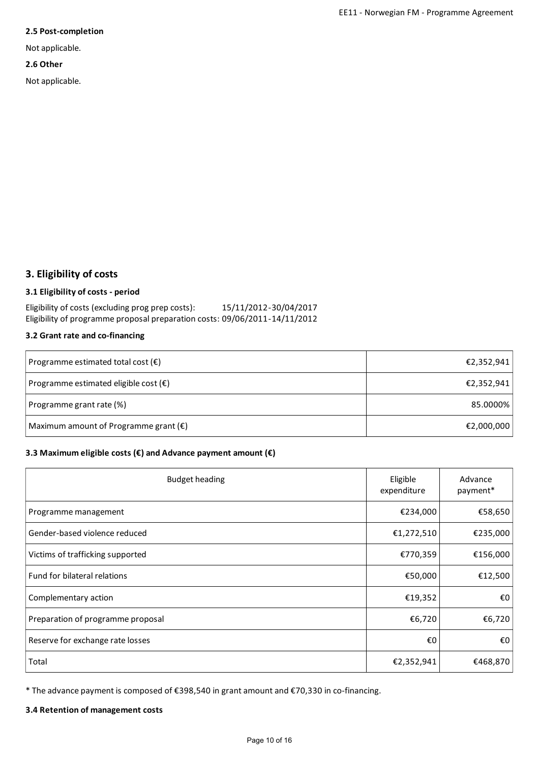#### **2.5 Post-completion**

Not applicable.

#### **2.6 Other**

Not applicable.

# **3.Eligibility of costs**

# **3.1 Eligibility of costs - period**

Eligibility of costs (excluding prog prep costs): 15/11/2012-30/04/2017 Eligibility of programme proposal preparation costs: 09/06/2011-14/11/2012

### **3.2 Grant rate and co-financing**

| Programme estimated total cost $(\epsilon)$    | €2,352,941 |
|------------------------------------------------|------------|
| Programme estimated eligible cost $(\epsilon)$ | €2,352,941 |
| Programme grant rate (%)                       | 85.0000%   |
| Maximum amount of Programme grant $(\epsilon)$ | €2,000,000 |

# **3.3 Maximumeligible costs (€) and Advance payment amount (€)**

| <b>Budget heading</b>             | Eligible<br>expenditure | Advance<br>payment* |
|-----------------------------------|-------------------------|---------------------|
| Programme management              | €234,000                | €58,650             |
| Gender-based violence reduced     | €1,272,510              | €235,000            |
| Victims of trafficking supported  | €770,359                | €156,000            |
| Fund for bilateral relations      | €50,000                 | €12,500             |
| Complementary action              | €19,352                 | €O                  |
| Preparation of programme proposal | €6,720                  | €6,720              |
| Reserve for exchange rate losses  | €0                      | €0                  |
| Total                             | €2,352,941              | €468,870            |

\* The advance payment is composed of €398,540 in grantamountand €70,330 in co-financing.

#### **3.4 Retention of management costs**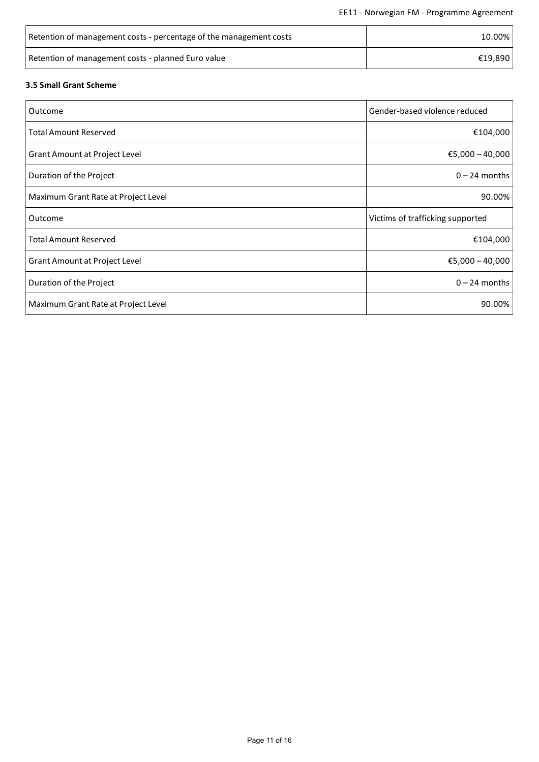| Retention of management costs - percentage of the management costs | 10.00%  |
|--------------------------------------------------------------------|---------|
| Retention of management costs - planned Euro value                 | €19.890 |

# **3.5 Small Grant Scheme**

| Outcome                             | Gender-based violence reduced    |
|-------------------------------------|----------------------------------|
| <b>Total Amount Reserved</b>        | €104,000                         |
| Grant Amount at Project Level       | €5,000 - 40,000                  |
| Duration of the Project             | $0 - 24$ months                  |
| Maximum Grant Rate at Project Level | 90.00%                           |
| Outcome                             | Victims of trafficking supported |
| <b>Total Amount Reserved</b>        | €104,000                         |
| Grant Amount at Project Level       | €5,000 - 40,000                  |
| Duration of the Project             | $0 - 24$ months                  |
| Maximum Grant Rate at Project Level | 90.00%                           |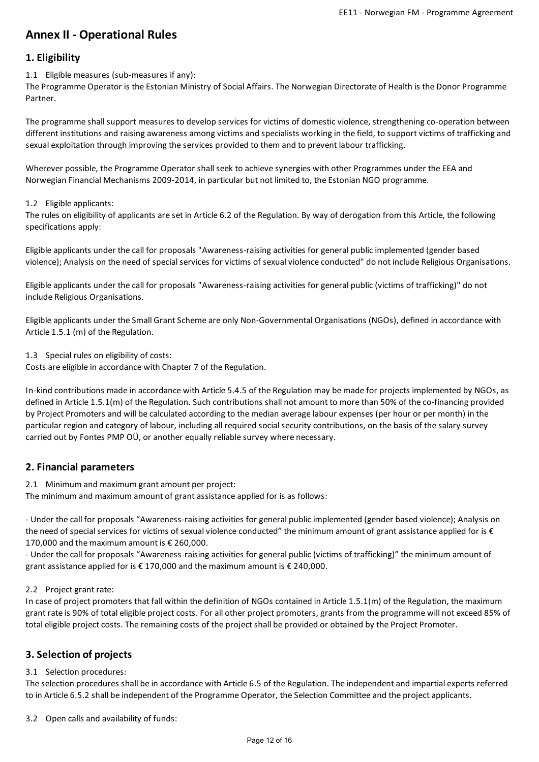# **AnnexII - Operational Rules**

# **1.Eligibility**

1.1 Eligible measures (sub-measures if any):

The Programme Operator is the Estonian Ministry of Social Affairs. The Norwegian Directorate of Health is the Donor Programme Partner.

The programme shall support measures to develop services for victims of domestic violence, strengthening co-operation between different institutions and raising awareness among victims and specialists working in the field, to support victims of trafficking and sexual exploitation through improving the services provided to them and to prevent labour trafficking.

Wherever possible, the Programme Operator shall seek to achieve synergies with other Programmes under the EEA and Norwegian Financial Mechanisms 2009-2014, in particular but not limited to, the Estonian NGO programme.

### 1.2 Eligible applicants:

The rules on eligibility of applicants are set in Article 6.2 of the Regulation. By way of derogation from this Article, the following specifications apply:

Eligible applicants under the call for proposals "Awareness-raisingactivities for general public implemented (gender based violence); Analysis on the need of special services for victims of sexual violence conducted" do not include Religious Organisations.

Eligible applicants under the call for proposals "Awareness-raisingactivities for general public (victims of trafficking)" do not include Religious Organisations.

Eligible applicants under the Small Grant Scheme are only Non-Governmental Organisations (NGOs), defined in accordance with Article 1.5.1 (m) of the Regulation.

1.3 Special rules on eligibility of costs:

Costs are eligible in accordance with Chapter 7 of the Regulation.

In-kind contributions made in accordance with Article 5.4.5 of the Regulation may be made for projects implemented by NGOs, as defined in Article 1.5.1(m) of the Regulation. Such contributions shall not amount to more than 50% of the co-financing provided by Project Promoters and will be calculated according to the median average labour expenses (per hour or per month) in the particular region and category of labour, includingall required social security contributions, on the basis of the salary survey carried out by Fontes PMP OÜ, or another equally reliable survey where necessary.

# **2.Financial parameters**

2.1 Minimum and maximum grant amount per project:

The minimum and maximum amount of grant assistance applied for is as follows:

- Under the call for proposals "Awareness-raising activities for general public implemented (gender based violence); Analysis on the need of special services for victims of sexual violence conducted" the minimum amount of grant assistance applied for is  $\epsilon$ 170,000 and the maximum amount is  $\epsilon$  260,000.

- Under the call for proposals "Awareness-raising activities for general public (victims of trafficking)" the minimum amount of grant assistance applied for is  $\epsilon$  170,000 and the maximum amount is  $\epsilon$  240,000.

# 2.2 Project grant rate:

In case of project promoters that fall within the definition of NGOs contained in Article 1.5.1(m) of the Regulation, the maximum grant rate is 90% of total eligible project costs. For all other project promoters, grants from the programme will not exceed 85% of total eligible project costs. The remaining costs of the project shall be provided or obtained by the Project Promoter.

# **3.Selection of projects**

# 3.1 Selection procedures:

The selection procedures shall be in accordance with Article 6.5 of the Regulation. The independent and impartial experts referred to in Article 6.5.2 shall be independent of the Programme Operator, the Selection Committee and the project applicants.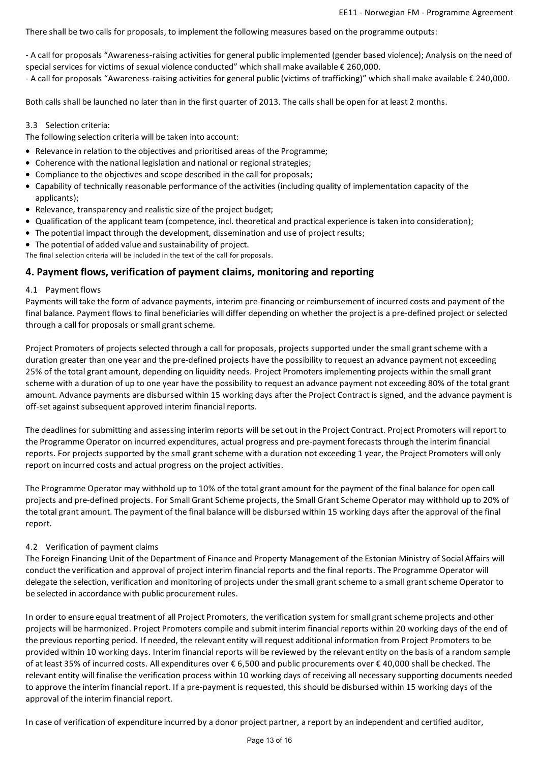There shall be two calls for proposals, to implement the following measures based on the programme outputs:

- A call for proposals "Awareness-raisingactivities for general public implemented (gender based violence); Analysis on the need of special services for victims of sexual violence conducted" which shall make available € 260,000.

- A call for proposals "Awareness-raisingactivities for general public (victims of trafficking)" which shallmake available € 240,000.

Both calls shall be launched no later than in the first quarter of 2013.The calls shall be open for at least 2 months.

### 3.3 Selection criteria:

The following selection criteria will be taken into account:

- Relevance in relation to the objectives and prioritised areas of the Programme;
- Coherence with the national legislation and national or regional strategies;
- Compliance to the objectives and scope described in the call for proposals;
- Capability of technically reasonable performance of the activities (including quality of implementation capacity of the applicants);
- Relevance, transparency and realistic size of the project budget;
- Qualification of the applicant team (competence, incl. theoretical and practical experience is taken into consideration);
- The potential impact through the development, dissemination and use of project results;
- The potential of added value and sustainability of project.

The final selection criteria will be included in the text of the call for proposals.

### **4. Payment flows,verification of payment claims, monitoring and reporting**

#### 4.1 Payment flows

Payments will take the form of advance payments, interim pre-financing or reimbursement of incurred costs and payment of the final balance. Payment flows to final beneficiaries will differ depending on whether the project is a pre-defined project or selected through a call for proposals or small grant scheme.

Project Promoters of projects selected through a call for proposals, projects supported under the small grant scheme with a duration greater than one year and the pre-defined projects have the possibility to requestan advance payment not exceeding 25% of the total grant amount, depending on liquidity needs. Project Promoters implementing projects within the small grant scheme with a duration of up to one year have the possibility to request an advance payment not exceeding 80% of the total grant amount. Advance payments are disbursed within 15 working days after the Project Contract is signed, and the advance payment is off-set against subsequent approved interim financial reports.

The deadlines for submitting and assessing interim reports will be set out in the Project Contract. Project Promoters will report to the Programme Operator on incurred expenditures, actual progress and pre-payment forecasts through the interim financial reports. For projects supported by the small grant scheme with a duration not exceeding 1 year, the Project Promoters will only report on incurred costs and actual progress on the project activities.

The Programme Operator may withhold up to 10% of the total grant amount for the payment of the final balance for open call projects and pre-defined projects. For Small Grant Scheme projects, the Small Grant Scheme Operator may withhold up to 20% of the total grant amount. The payment of the final balance will be disbursed within 15 working days after the approval of the final report.

#### 4.2 Verification of payment claims

The Foreign Financing Unit of the Department of Finance and Property Management of the Estonian Ministry of Social Affairs will conduct the verification and approval of project interim financial reports and the final reports.The Programme Operator will delegate the selection, verification and monitoring of projects under the small grant scheme to a small grant scheme Operator to be selected in accordance with public procurement rules.

In order to ensure equal treatment of all Project Promoters, the verification system for small grant scheme projects and other projects will be harmonized. Project Promoters compile and submit interim financial reports within 20 working days of the end of the previous reporting period. If needed, the relevant entity will requestadditional information from Project Promoters to be provided within 10 working days. Interim financial reports will be reviewed by the relevant entity on the basis of a random sample ofat least 35% of incurred costs. All expenditures over € 6,500 and public procurements over € 40,000 shall be checked.The relevant entity will finalise the verification process within 10 working days of receiving all necessary supporting documents needed to approve the interim financial report. If a pre-payment is requested, this should be disbursed within 15 working days of the approval of the interim financial report.

In case of verification of expenditure incurred by a donor project partner, a report by an independent and certified auditor,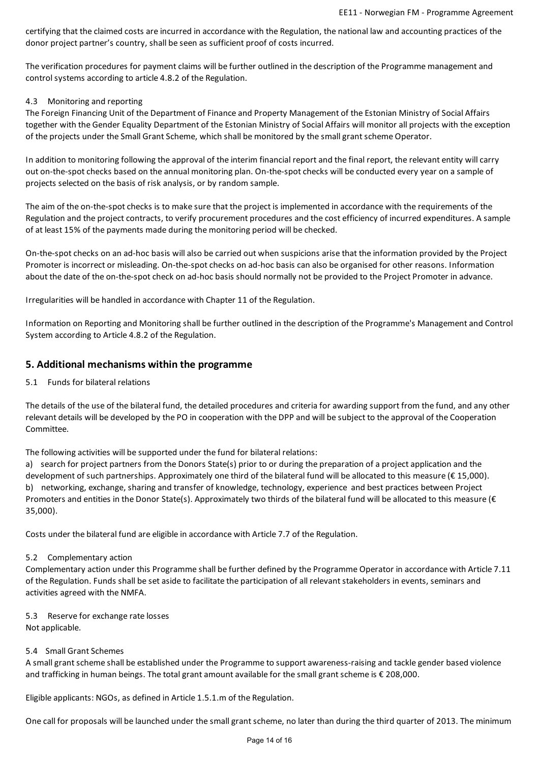certifying that the claimed costs are incurred in accordance with the Regulation, the national law and accounting practices of the donor project partner's country, shall be seen as sufficient proof of costs incurred.

The verification procedures for payment claims will be further outlined in the description of the Programme management and control systems according to article 4.8.2 of the Regulation.

# 4.3 Monitoringand reporting

The Foreign Financing Unit of the Department of Finance and Property Management of the Estonian Ministry of Social Affairs together with the Gender Equality Department of the Estonian Ministry of Social Affairs will monitor all projects with the exception of the projects under the Small Grant Scheme, which shall be monitored by the small grant scheme Operator.

In addition to monitoring following the approval of the interim financial report and the final report, the relevant entity will carry out on-the-spot checks based on the annual monitoring plan. On-the-spot checks will be conducted every year on a sample of projects selected on the basis of risk analysis, or by random sample.

The aim of the on-the-spot checks is to make sure that the project is implemented in accordance with the requirements of the Regulation and the project contracts, to verify procurement procedures and the cost efficiency of incurred expenditures. A sample of at least 15% of the payments made during the monitoring period will be checked.

On-the-spot checks on an ad-hoc basis will also be carried out when suspicions arise that the information provided by the Project Promoter is incorrect or misleading. On-the-spot checks on ad-hoc basis can also be organised for other reasons. Information about the date of the on-the-spot check on ad-hoc basis should normally not be provided to the Project Promoter in advance.

Irregularities will be handled in accordance with Chapter 11 of the Regulation.

Information on Reporting and Monitoring shall be further outlined in the description of the Programme's Management and Control System according to Article 4.8.2 of the Regulation.

# **5. Additional mechanisms within the programme**

### 5.1 Funds for bilateral relations

The details of the use of the bilateral fund, the detailed procedures and criteria for awarding support from the fund, and any other relevant details will be developed by the PO in cooperation with the DPP and will be subject to the approval of the Cooperation Committee.

The following activities will be supported under the fund for bilateral relations:

a) search for project partners from the Donors State(s) prior to or during the preparation of a project application and the development of such partnerships. Approximately one third of the bilateral fund will be allocated to this measure (€ 15,000). b) networking, exchange, sharing and transfer of knowledge, technology, experience and best practices between Project Promoters and entities in the Donor State(s). Approximately two thirds of the bilateral fund will be allocated to this measure ( $\epsilon$ 35,000).

Costs under the bilateral fund are eligible in accordance with Article 7.7 of the Regulation.

# 5.2 Complementary action

Complementary action under this Programme shall be further defined by the Programme Operator in accordance with Article 7.11 of the Regulation.Funds shall be setaside to facilitate the participation ofall relevant stakeholders in events, seminars and activities agreed with the NMFA.

5.3 Reserve for exchange rate losses Not applicable.

# 5.4 Small Grant Schemes

A small grant scheme shall be established under the Programme to support awareness-raising and tackle gender based violence and trafficking in human beings. The total grant amount available for the small grant scheme is € 208,000.

Eligible applicants: NGOs, as defined in Article 1.5.1.m of the Regulation.

One call for proposals will be launched under the small grant scheme, no later than during the third quarter of 2013. The minimum